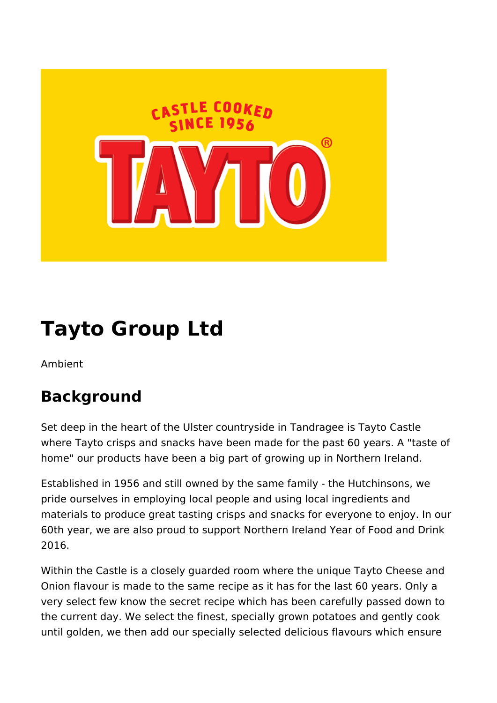

# **Tayto Group Ltd**

Ambient

### **Background**

Set deep in the heart of the Ulster countryside in Tandragee is Tayto Castle where Tayto crisps and snacks have been made for the past 60 years. A "taste of home" our products have been a big part of growing up in Northern Ireland.

Established in 1956 and still owned by the same family - the Hutchinsons, we pride ourselves in employing local people and using local ingredients and materials to produce great tasting crisps and snacks for everyone to enjoy. In our 60th year, we are also proud to support Northern Ireland Year of Food and Drink 2016.

Within the Castle is a closely guarded room where the unique Tayto Cheese and Onion flavour is made to the same recipe as it has for the last 60 years. Only a very select few know the secret recipe which has been carefully passed down to the current day. We select the finest, specially grown potatoes and gently cook until golden, we then add our specially selected delicious flavours which ensure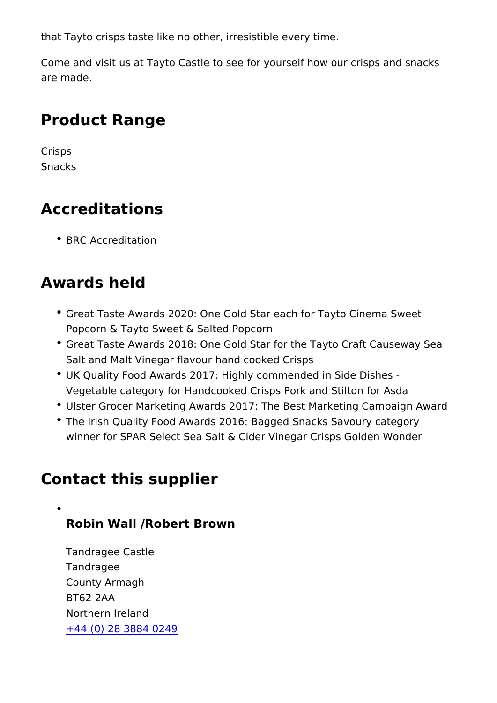that Tayto crisps taste like no other, irresistible every time.

Come and visit us at Tayto Castle to see for yourself how our c are made.

### Product Range

Crisps Snacks

#### Accreditations

BRC Accreditation

#### Awards held

- Great Taste Awards 2020: One Gold Star each for Tayto Cin Popcorn & Tayto Sweet & Salted Popcorn
- Great Taste Awards 2018: One Gold Star for the Tayto Craft Salt and Malt Vinegar flavour hand cooked Crisps
- UK Quality Food Awards 2017: Highly commended in Side Di Vegetable category for Handcooked Crisps Pork and Stilton
- Ulster Grocer Marketing Awards 2017: The Best Marketing C
- The Irish Quality Food Awards 2016: Bagged Snacks Savoury winner for SPAR Select Sea Salt & Cider Vinegar Crisps Gol

#### Contact this supplier

Robin Wall /Robert Brown

Tandragee Castle Tandragee County Armagh BT62 2AA Northern Ireland [+44 \(0\) 28 3884](tel:+44(0)2838840249) 0249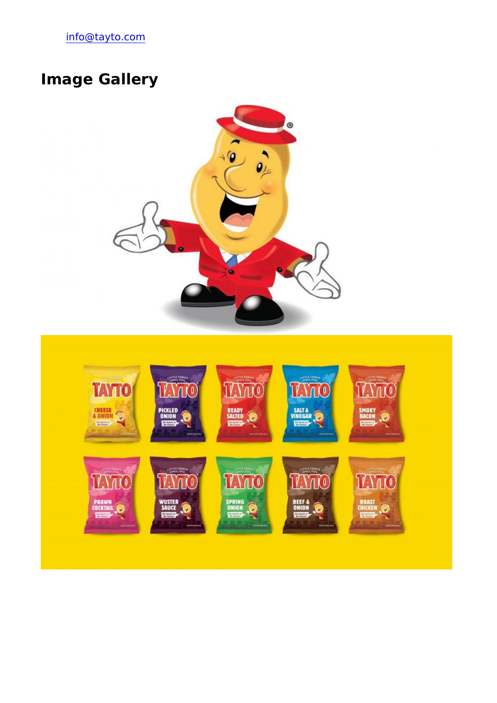[info@tayto.](mailto:info@tayto.com)com

## Image Gallery